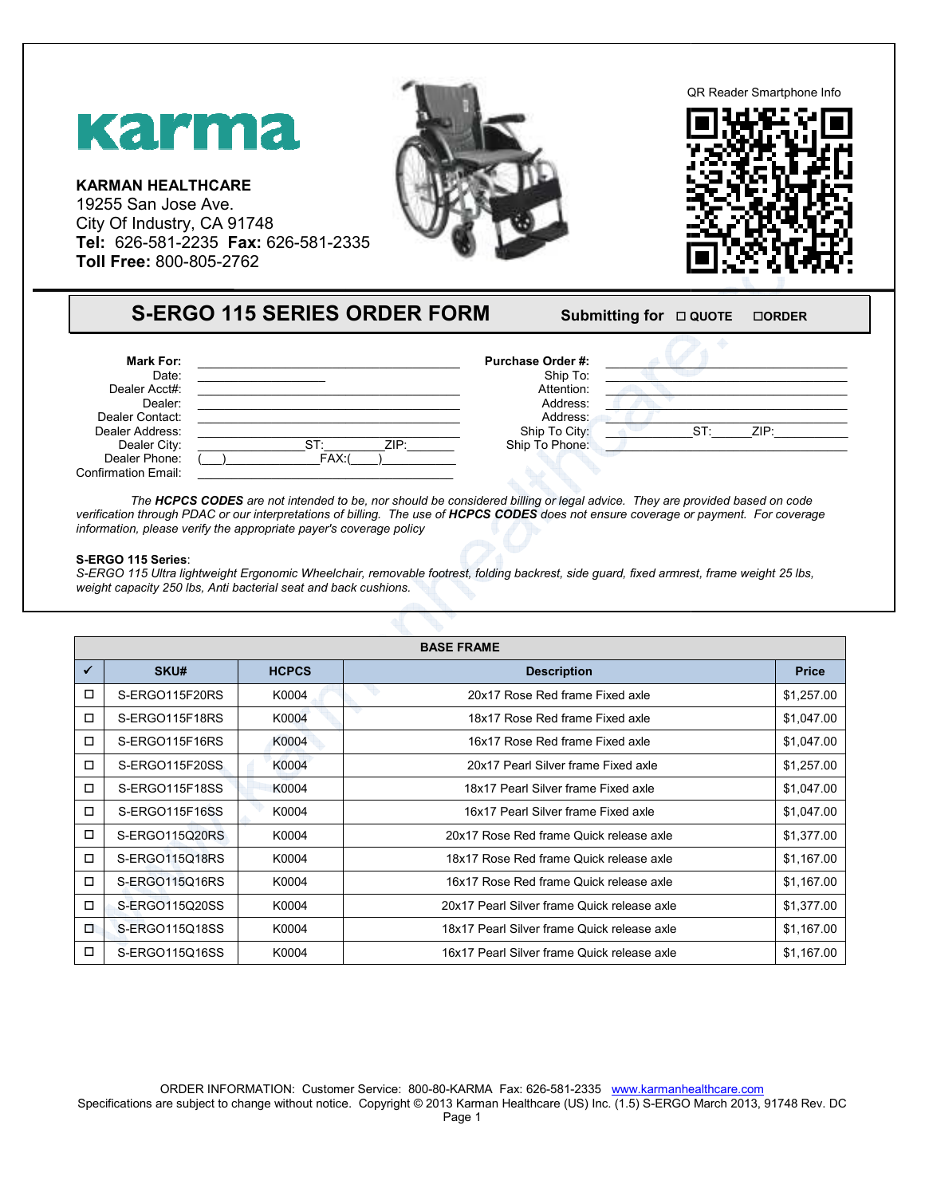

| <b>S-ERGO 115 SERIES ORDER FORM</b> |  |
|-------------------------------------|--|
|-------------------------------------|--|

## **FORM** Submitting for  $\Box$  QUOTE -**ORDER**



## **S-ERGO 115 Series**:

|                                                                                    | <b>Karma</b><br><b>KARMAN HEALTHCARE</b><br>19255 San Jose Ave.<br>City Of Industry, CA 91748<br>Tel: 626-581-2235 Fax: 626-581-2335<br>Toll Free: 800-805-2762 |                                                                                                                                       |                                                                                                                                                                                                                                                                                                                                                                                                                |                          |
|------------------------------------------------------------------------------------|-----------------------------------------------------------------------------------------------------------------------------------------------------------------|---------------------------------------------------------------------------------------------------------------------------------------|----------------------------------------------------------------------------------------------------------------------------------------------------------------------------------------------------------------------------------------------------------------------------------------------------------------------------------------------------------------------------------------------------------------|--------------------------|
|                                                                                    |                                                                                                                                                                 | <b>S-ERGO 115 SERIES ORDER FORM</b>                                                                                                   | Submitting for $\Box$ QUOTE                                                                                                                                                                                                                                                                                                                                                                                    | <b>OORDER</b>            |
|                                                                                    | <b>Mark For:</b><br>Date:<br>Dealer Acct#:<br>Dealer:<br>Dealer Contact:<br>Dealer Address:<br>Dealer City:<br>Dealer Phone:                                    | ST:<br>FAX:                                                                                                                           | Purchase Order #:<br>Ship To:<br>Attention:<br>Address:<br>Address:<br>Ship To City:<br>ZIP:<br>Ship To Phone:                                                                                                                                                                                                                                                                                                 | ZIP:<br>ST:              |
|                                                                                    | <b>Confirmation Email:</b><br>S-ERGO 115 Series:                                                                                                                | information, please verify the appropriate payer's coverage policy<br>weight capacity 250 lbs, Anti bacterial seat and back cushions. | The HCPCS CODES are not intended to be, nor should be considered billing or legal advice. They are provided based on code<br>verification through PDAC or our interpretations of billing. The use of HCPCS CODES does not ensure coverage or payment. For coverage<br>S-ERGO 115 Ultra lightweight Ergonomic Wheelchair, removable footrest, folding backrest, side guard, fixed armrest, frame weight 25 lbs, |                          |
|                                                                                    |                                                                                                                                                                 |                                                                                                                                       |                                                                                                                                                                                                                                                                                                                                                                                                                |                          |
|                                                                                    |                                                                                                                                                                 |                                                                                                                                       | <b>BASE FRAME</b>                                                                                                                                                                                                                                                                                                                                                                                              |                          |
|                                                                                    | SKU#                                                                                                                                                            | <b>HCPCS</b>                                                                                                                          | <b>Description</b>                                                                                                                                                                                                                                                                                                                                                                                             | <b>Price</b>             |
|                                                                                    | S-ERGO115F20RS                                                                                                                                                  | K0004                                                                                                                                 | 20x17 Rose Red frame Fixed axle                                                                                                                                                                                                                                                                                                                                                                                |                          |
|                                                                                    | S-ERGO115F18RS                                                                                                                                                  | K0004                                                                                                                                 | 18x17 Rose Red frame Fixed axle                                                                                                                                                                                                                                                                                                                                                                                | \$1,257.00<br>\$1,047.00 |
|                                                                                    | S-ERGO115F16RS                                                                                                                                                  | K0004                                                                                                                                 | 16x17 Rose Red frame Fixed axle                                                                                                                                                                                                                                                                                                                                                                                | \$1,047.00               |
|                                                                                    | S-ERGO115F20SS                                                                                                                                                  | K0004                                                                                                                                 | 20x17 Pearl Silver frame Fixed axle                                                                                                                                                                                                                                                                                                                                                                            | \$1,257.00               |
|                                                                                    | S-ERGO115F18SS                                                                                                                                                  | K0004                                                                                                                                 | 18x17 Pearl Silver frame Fixed axle                                                                                                                                                                                                                                                                                                                                                                            | \$1,047.00               |
|                                                                                    | S-ERGO115F16SS                                                                                                                                                  | K0004                                                                                                                                 | 16x17 Pearl Silver frame Fixed axle                                                                                                                                                                                                                                                                                                                                                                            | \$1,047.00               |
|                                                                                    | S-ERGO115Q20RS                                                                                                                                                  | K0004                                                                                                                                 | 20x17 Rose Red frame Quick release axle                                                                                                                                                                                                                                                                                                                                                                        | \$1,377.00               |
|                                                                                    | S-ERGO115Q18RS<br>S-ERGO115Q16RS                                                                                                                                | K0004<br>K0004                                                                                                                        | 18x17 Rose Red frame Quick release axle<br>16x17 Rose Red frame Quick release axle                                                                                                                                                                                                                                                                                                                             | \$1,167.00<br>\$1,167.00 |
|                                                                                    | S-ERGO115Q20SS                                                                                                                                                  | K0004                                                                                                                                 | 20x17 Pearl Silver frame Quick release axle                                                                                                                                                                                                                                                                                                                                                                    | \$1,377.00               |
| $\checkmark$<br>□<br>□<br>□<br>□<br>$\Box$<br>$\Box$<br>□<br>□<br>$\Box$<br>$\Box$ | S-ERGO115Q18SS                                                                                                                                                  | K0004                                                                                                                                 | 18x17 Pearl Silver frame Quick release axle                                                                                                                                                                                                                                                                                                                                                                    | \$1,167.00               |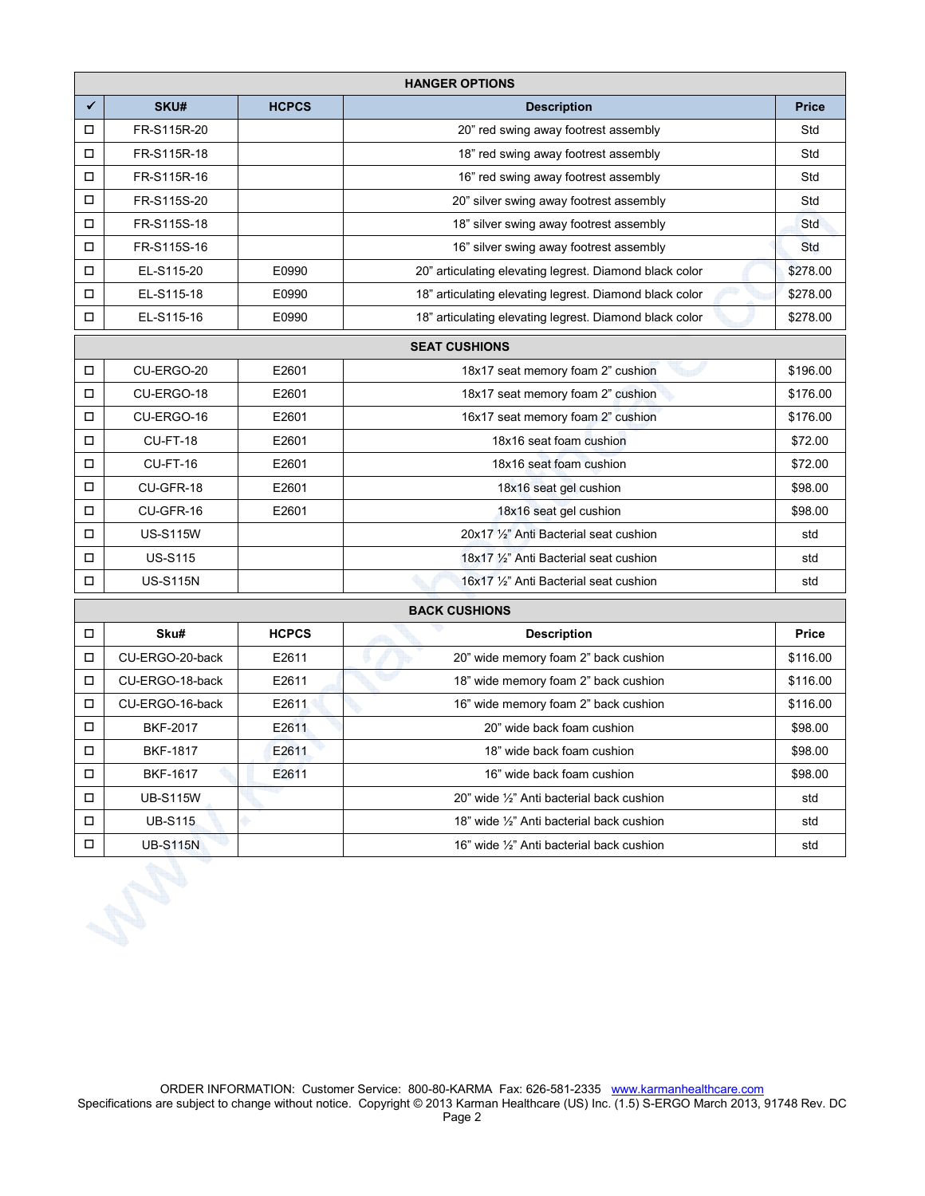|                      | <b>HANGER OPTIONS</b>                         |              |                                                         |              |  |  |
|----------------------|-----------------------------------------------|--------------|---------------------------------------------------------|--------------|--|--|
| ✔                    | SKU#                                          | <b>HCPCS</b> | <b>Description</b>                                      | <b>Price</b> |  |  |
| □                    | FR-S115R-20                                   |              | 20" red swing away footrest assembly                    | Std          |  |  |
| □                    | FR-S115R-18                                   |              | 18" red swing away footrest assembly                    | Std          |  |  |
| □                    | FR-S115R-16                                   |              | 16" red swing away footrest assembly                    | Std          |  |  |
| $\Box$               | FR-S115S-20                                   |              | 20" silver swing away footrest assembly                 | Std          |  |  |
| о                    | FR-S115S-18                                   |              | 18" silver swing away footrest assembly                 | Std          |  |  |
| □                    | FR-S115S-16                                   |              | 16" silver swing away footrest assembly                 | Std          |  |  |
| $\Box$               | EL-S115-20                                    | E0990        | 20" articulating elevating legrest. Diamond black color | \$278.00     |  |  |
| П                    | EL-S115-18                                    | E0990        | 18" articulating elevating legrest. Diamond black color | \$278.00     |  |  |
| □                    | EL-S115-16                                    | E0990        | 18" articulating elevating legrest. Diamond black color | \$278.00     |  |  |
|                      | <b>SEAT CUSHIONS</b>                          |              |                                                         |              |  |  |
| $\Box$               | CU-ERGO-20                                    | E2601        | 18x17 seat memory foam 2" cushion                       | \$196.00     |  |  |
| □                    | CU-ERGO-18                                    | E2601        | 18x17 seat memory foam 2" cushion                       | \$176.00     |  |  |
| □                    | CU-ERGO-16                                    | E2601        | 16x17 seat memory foam 2" cushion                       | \$176.00     |  |  |
| $\Box$               | CU-FT-18                                      | E2601        | 18x16 seat foam cushion                                 | \$72.00      |  |  |
| □                    | CU-FT-16                                      | E2601        | 18x16 seat foam cushion                                 | \$72.00      |  |  |
| $\Box$               | CU-GFR-18                                     | E2601        | 18x16 seat gel cushion                                  | \$98.00      |  |  |
| □                    | CU-GFR-16                                     | E2601        | 18x16 seat gel cushion                                  | \$98.00      |  |  |
| $\Box$               | <b>US-S115W</b>                               |              | 20x17 1/2" Anti Bacterial seat cushion                  | std          |  |  |
| $\Box$               | <b>US-S115</b>                                |              | 18x17 1/2" Anti Bacterial seat cushion                  | std          |  |  |
| П                    | <b>US-S115N</b>                               |              | 16x17 1/2" Anti Bacterial seat cushion                  | std          |  |  |
| <b>BACK CUSHIONS</b> |                                               |              |                                                         |              |  |  |
| m.                   | UCDCS<br>C1, 4<br>Drinn<br><b>Donorintion</b> |              |                                                         |              |  |  |

| □      | Sku#            | <b>HCPCS</b> | <b>Description</b>                        | <b>Price</b> |  |
|--------|-----------------|--------------|-------------------------------------------|--------------|--|
| □      | CU-ERGO-20-back | E2611        | 20" wide memory foam 2" back cushion      | \$116.00     |  |
| $\Box$ | CU-ERGO-18-back | E2611        | 18" wide memory foam 2" back cushion      | \$116.00     |  |
| $\Box$ | CU-ERGO-16-back | E2611        | 16" wide memory foam 2" back cushion      | \$116.00     |  |
| □      | <b>BKF-2017</b> | E2611        | 20" wide back foam cushion                | \$98.00      |  |
| □      | <b>BKF-1817</b> | E2611        | 18" wide back foam cushion                | \$98.00      |  |
| $\Box$ | <b>BKF-1617</b> | E2611        | 16" wide back foam cushion                | \$98.00      |  |
| $\Box$ | <b>UB-S115W</b> |              | 20" wide 1/2" Anti bacterial back cushion | std          |  |
| П      | <b>UB-S115</b>  |              | 18" wide 1/2" Anti bacterial back cushion | std          |  |
| ◻      | <b>UB-S115N</b> |              | 16" wide 1/2" Anti bacterial back cushion | std          |  |